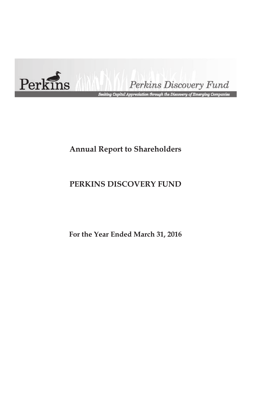

Perkins Discovery Fund

.<br>Seeking Capital Appreciation through the Discovery of Emerging Companies

# **Annual Report to Shareholders**

# **PERKINS DISCOVERY FUND**

**For the Year Ended March 31, 2016**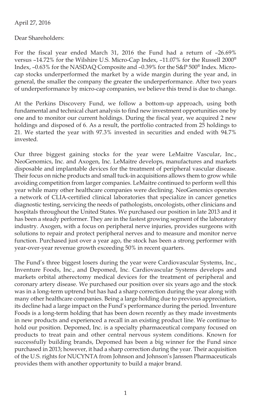# April 27, 2016

### Dear Shareholders:

For the fiscal year ended March 31, 2016 the Fund had a return of –26.69% versus –14.72% for the Wilshire U.S. Micro-Cap Index, –11.07% for the Russell 2000® Index, –0.63% for the NASDAQ Composite and –0.39% for the S&P 500® Index. Microcap stocks underperformed the market by a wide margin during the year and, in general, the smaller the company the greater the underperformance. After two years of underperformance by micro-cap companies, we believe this trend is due to change.

At the Perkins Discovery Fund, we follow a bottom-up approach, using both fundamental and technical chart analysis to find new investment opportunities one by one and to monitor our current holdings. During the fiscal year, we acquired 2 new holdings and disposed of 6. As a result, the portfolio contracted from 25 holdings to 21. We started the year with 97.3% invested in securities and ended with 94.7% invested.

Our three biggest gaining stocks for the year were LeMaitre Vascular, Inc., NeoGenomics, Inc. and Axogen, Inc. LeMaitre develops, manufactures and markets disposable and implantable devices for the treatment of peripheral vascular disease. Their focus on niche products and small tuck-in acquisitions allows them to grow while avoiding competition from larger companies. LeMaitre continued to perform well this year while many other healthcare companies were declining. NeoGenomics operates a network of CLIA-certified clinical laboratories that specialize in cancer genetics diagnostic testing, servicing the needs of pathologists, oncologists, other clinicians and hospitals throughout the United States. We purchased our position in late 2013 and it has been a steady performer. They are in the fastest growing segment of the laboratory industry. Axogen, with a focus on peripheral nerve injuries, provides surgeons with solutions to repair and protect peripheral nerves and to measure and monitor nerve function. Purchased just over a year ago, the stock has been a strong performer with year-over-year revenue growth exceeding 50% in recent quarters.

The Fund's three biggest losers during the year were Cardiovascular Systems, Inc., Inventure Foods, Inc., and Depomed, Inc. Cardiovascular Systems develops and markets orbital atherectomy medical devices for the treatment of peripheral and coronary artery disease. We purchased our position over six years ago and the stock was in a long-term uptrend but has had a sharp correction during the year along with many other healthcare companies. Being a large holding due to previous appreciation, its decline had a large impact on the Fund's performance during the period. Inventure Foods is a long-term holding that has been down recently as they made investments in new products and experienced a recall in an existing product line. We continue to hold our position. Depomed, Inc. is a specialty pharmaceutical company focused on products to treat pain and other central nervous system conditions. Known for successfully building brands, Depomed has been a big winner for the Fund since purchased in 2013; however, it had a sharp correction during the year. Their acquisition of the U.S. rights for NUCYNTA from Johnson and Johnson's Janssen Pharmaceuticals provides them with another opportunity to build a major brand.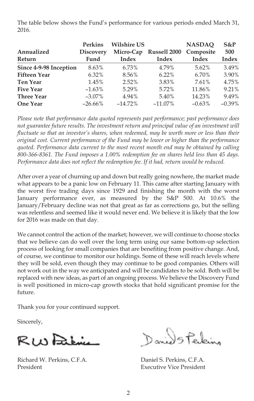The table below shows the Fund's performance for various periods ended March 31, 2016.

|                        | <b>Perkins</b>   | <b>Wilshire US</b> |                        | <b>NASDAO</b> | $S\&P$       |
|------------------------|------------------|--------------------|------------------------|---------------|--------------|
| Annualized             | <b>Discovery</b> |                    | Micro-Cap Russell 2000 | Composite     | 500          |
| Return                 | Fund             | Index              | Index                  | Index         | <b>Index</b> |
| Since 4-9-98 Inception | 8.63%            | 6.73%              | 4.79%                  | $5.62\%$      | 3.49%        |
| <b>Fifteen Year</b>    | 6.32%            | 8.56%              | 6.22%                  | 6.70%         | 3.90%        |
| <b>Ten Year</b>        | 1.45%            | 2.52%              | 3.83%                  | 7.61%         | 4.75%        |
| <b>Five Year</b>       | $-1.63\%$        | 5.29%              | 5.72%                  | 11.86%        | 9.21%        |
| <b>Three Year</b>      | $-3.07\%$        | 4.94%              | 5.40%                  | 14.23%        | 9.49%        |
| <b>One Year</b>        | $-26.66\%$       | $-14.72\%$         | $-11.07\%$             | $-0.63\%$     | $-0.39\%$    |

*Please note that performance data quoted represents past performance; past performance does not guarantee future results. The investment return and principal value of an investment will fluctuate so that an investor's shares, when redeemed, may be worth more or less than their original cost. Current performance of the Fund may be lower or higher than the performance quoted. Performance data current to the most recent month end may be obtained by calling 800-366-8361. The Fund imposes a 1.00% redemption fee on shares held less than 45 days. Performance data does not reflect the redemption fee. If it had, return would be reduced.*

After over a year of churning up and down but really going nowhere, the market made what appears to be a panic low on February 11. This came after starting January with the worst five trading days since 1929 and finishing the month with the worst January performance ever, as measured by the S&P 500. At 10.6% the January/February decline was not that great as far as corrections go, but the selling was relentless and seemed like it would never end. We believe it is likely that the low for 2016 was made on that day.

We cannot control the action of the market; however, we will continue to choose stocks that we believe can do well over the long term using our same bottom-up selection process of looking for small companies that are benefiting from positive change. And, of course, we continue to monitor our holdings. Some of these will reach levels where they will be sold, even though they may continue to be good companies. Others will not work out in the way we anticipated and will be candidates to be sold. Both will be replaced with new ideas, as part of an ongoing process. We believe the Discovery Fund is well positioned in micro-cap growth stocks that hold significant promise for the future.

Thank you for your continued support.

Sincerely,

RW Daking

Richard W. Perkins, C.F.A. Daniel S. Perkins, C.F.A. President **Executive Vice President** 

Daniel Staking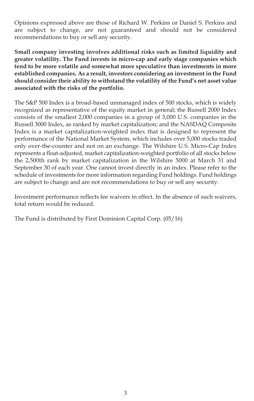Opinions expressed above are those of Richard W. Perkins or Daniel S. Perkins and are subject to change, are not guaranteed and should not be considered recommendations to buy or sell any security.

**Small company investing involves additional risks such as limited liquidity and greater volatility. The Fund invests in micro-cap and early stage companies which tend to be more volatile and somewhat more speculative than investments in more established companies. As a result, investors considering an investment in the Fund should consider their ability to withstand the volatility of the Fund's net asset value associated with the risks of the portfolio.**

The S&P 500 Index is a broad-based unmanaged index of 500 stocks, which is widely recognized as representative of the equity market in general; the Russell 2000 Index consists of the smallest 2,000 companies in a group of 3,000 U.S. companies in the Russell 3000 Index, as ranked by market capitalization; and the NASDAQ Composite Index is a market capitalization-weighted index that is designed to represent the performance of the National Market System, which includes over 5,000 stocks traded only over-the-counter and not on an exchange. The Wilshire U.S. Micro-Cap Index represents a float-adjusted, market capitalization-weighted portfolio of all stocks below the 2,500th rank by market capitalization in the Wilshire 5000 at March 31 and September 30 of each year. One cannot invest directly in an index. Please refer to the schedule of investments for more information regarding Fund holdings. Fund holdings are subject to change and are not recommendations to buy or sell any security.

Investment performance reflects fee waivers in effect. In the absence of such waivers, total return would be reduced.

The Fund is distributed by First Dominion Capital Corp. (05/16)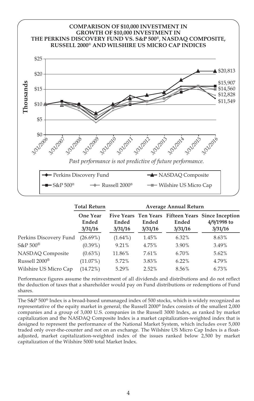

|                           | <b>Total Return</b>          | <b>Average Annual Return</b> |                  |                  |                                                                              |  |
|---------------------------|------------------------------|------------------------------|------------------|------------------|------------------------------------------------------------------------------|--|
|                           | One Year<br>Ended<br>3/31/16 | Ended<br>3/31/16             | Ended<br>3/31/16 | Ended<br>3/31/16 | Five Years Ten Years Fifteen Years Since Inception<br>4/9/1998 to<br>3/31/16 |  |
| Perkins Discovery Fund    | $(26.69\%)$                  | $(1.64\%)$                   | 1.45%            | 6.32%            | 8.63%                                                                        |  |
| S&P 500®                  | $(0.39\%)$                   | 9.21%                        | 4.75%            | 3.90%            | 3.49%                                                                        |  |
| NASDAQ Composite          | $(0.63\%)$                   | 11.86%                       | 7.61%            | 6.70%            | 5.62%                                                                        |  |
| Russell 2000 <sup>®</sup> | $(11.07\%)$                  | 5.72%                        | 3.83%            | 6.22%            | 4.79%                                                                        |  |
| Wilshire US Micro Cap     | (14.72%)                     | 5.29%                        | 2.52%            | 8.56%            | 6.73%                                                                        |  |

Performance figures assume the reinvestment of all dividends and distributions and do not reflect the deduction of taxes that a shareholder would pay on Fund distributions or redemptions of Fund shares.

The S&P 500® Index is a broad-based unmanaged index of 500 stocks, which is widely recognized as representative of the equity market in general; the Russell 2000® Index consists of the smallest 2,000 companies and a group of 3,000 U.S. companies in the Russell 3000 Index, as ranked by market capitalization and the NASDAQ Composite Index is a market capitalization-weighted index that is designed to represent the performance of the National Market System, which includes over 5,000 traded only over-the-counter and not on an exchange. The Wilshire US Micro Cap Index is a floatadjusted, market capitalization-weighted index of the issues ranked below 2,500 by market capitalization of the Wilshire 5000 total Market Index.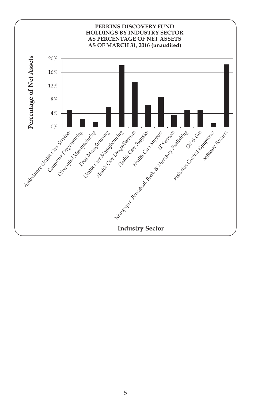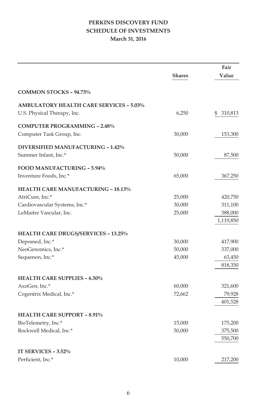# **PERKINS DISCOVERY FUND SCHEDULE OF INVESTMENTS March 31, 2016**

|                                                |               | Fair          |
|------------------------------------------------|---------------|---------------|
|                                                | <b>Shares</b> | Value         |
| <b>COMMON STOCKS - 94.73%</b>                  |               |               |
| <b>AMBULATORY HEALTH CARE SERVICES - 5.03%</b> |               |               |
| U.S. Physical Therapy, Inc.                    | 6,250         | 310,813<br>\$ |
| <b>COMPUTER PROGRAMMING - 2.48%</b>            |               |               |
| Computer Task Group, Inc.                      | 30,000        | 153,300       |
| DIVERSIFIED MANUFACTURING - 1.42%              |               |               |
| Summer Infant, Inc.*                           | 50,000        | 87,500        |
| FOOD MANUFACTURING - 5.94%                     |               |               |
| Inventure Foods, Inc.*                         | 65,000        | 367,250       |
| <b>HEALTH CARE MANUFACTURING - 18.13%</b>      |               |               |
| AtriCure, Inc.*                                | 25,000        | 420,750       |
| Cardiovascular Systems, Inc.*                  | 30,000        | 311,100       |
| LeMaitre Vascular, Inc.                        | 25,000        | 388,000       |
|                                                |               | 1,119,850     |
| <b>HEALTH CARE DRUGS/SERVICES - 13.25%</b>     |               |               |
| Depomed, Inc.*                                 | 30,000        | 417,900       |
| NeoGenomics, Inc.*                             | 50,000        | 337,000       |
| Sequenon, Inc.*                                | 45,000        | 63,450        |
|                                                |               | 818,350       |
| <b>HEALTH CARE SUPPLIES - 6.50%</b>            |               |               |
| AxoGen, Inc.*                                  | 60,000        | 321,600       |
| Cogentrix Medical, Inc.*                       | 72,662        | 79,928        |
|                                                |               | 401,528       |
| <b>HEALTH CARE SUPPORT - 8.91%</b>             |               |               |
| BioTelemetry, Inc.*                            | 15,000        | 175,200       |
| Rockwell Medical, Inc.*                        | 50,000        | 375,500       |
|                                                |               | 550,700       |
| IT SERVICES - 3.52%                            |               |               |
| Perficient, Inc.*                              | 10,000        | 217,200       |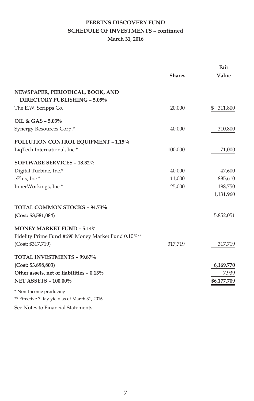# **PERKINS DISCOVERY FUND SCHEDULE OF INVESTMENTS – continued March 31, 2016**

|                                                    |               | Fair          |
|----------------------------------------------------|---------------|---------------|
|                                                    | <b>Shares</b> | Value         |
| NEWSPAPER, PERIODICAL, BOOK, AND                   |               |               |
| DIRECTORY PUBLISHING - 5.05%                       |               |               |
| The E.W. Scripps Co.                               | 20,000        | 311,800<br>\$ |
| OIL & GAS - 5.03%                                  |               |               |
| Synergy Resources Corp.*                           | 40,000        | 310,800       |
| POLLUTION CONTROL EQUIPMENT - 1.15%                |               |               |
| LiqTech International, Inc.*                       | 100,000       | 71,000        |
| <b>SOFTWARE SERVICES - 18.32%</b>                  |               |               |
| Digital Turbine, Inc.*                             | 40,000        | 47,600        |
| ePlus, Inc.*                                       | 11,000        | 885,610       |
| InnerWorkings, Inc.*                               | 25,000        | 198,750       |
|                                                    |               | 1,131,960     |
| <b>TOTAL COMMON STOCKS - 94.73%</b>                |               |               |
| (Cost: \$3,581,084)                                |               | 5,852,051     |
| <b>MONEY MARKET FUND - 5.14%</b>                   |               |               |
| Fidelity Prime Fund #690 Money Market Fund 0.10%** |               |               |
| (Cost: \$317,719)                                  | 317,719       | 317,719       |
| <b>TOTAL INVESTMENTS - 99.87%</b>                  |               |               |
| (Cost: \$3,898,803)                                |               | 6,169,770     |
| Other assets, net of liabilities - 0.13%           |               | 7,939         |
| <b>NET ASSETS - 100.00%</b>                        |               | \$6,177,709   |
| * Non-Income producing                             |               |               |
| ** Effective 7 day yield as of March 31, 2016.     |               |               |
| See Notes to Financial Statements                  |               |               |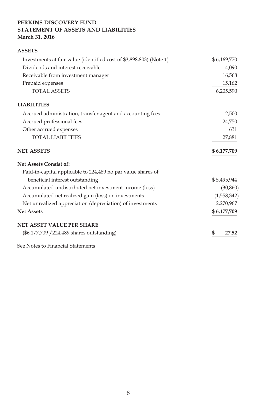### **PERKINS DISCOVERY FUND STATEMENT OF ASSETS AND LIABILITIES March 31, 2016**

| <b>ASSETS</b>                                                       |             |
|---------------------------------------------------------------------|-------------|
| Investments at fair value (identified cost of \$3,898,803) (Note 1) | \$6,169,770 |
| Dividends and interest receivable                                   | 4,090       |
| Receivable from investment manager                                  | 16,568      |
| Prepaid expenses                                                    | 15,162      |
| <b>TOTAL ASSETS</b>                                                 | 6,205,590   |
| <b>LIABILITIES</b>                                                  |             |
| Accrued administration, transfer agent and accounting fees          | 2,500       |
| Accrued professional fees                                           | 24,750      |
| Other accrued expenses                                              | 631         |
| <b>TOTAL LIABILITIES</b>                                            | 27,881      |
| <b>NET ASSETS</b>                                                   | \$6,177,709 |
| <b>Net Assets Consist of:</b>                                       |             |
| Paid-in-capital applicable to 224,489 no par value shares of        |             |
| beneficial interest outstanding                                     | \$5,495,944 |
| Accumulated undistributed net investment income (loss)              | (30, 860)   |
| Accumulated net realized gain (loss) on investments                 | (1,558,342) |
| Net unrealized appreciation (depreciation) of investments           | 2,270,967   |
| <b>Net Assets</b>                                                   | \$6,177,709 |
| <b>NET ASSET VALUE PER SHARE</b>                                    |             |
| (\$6,177,709 / 224,489 shares outstanding)                          |             |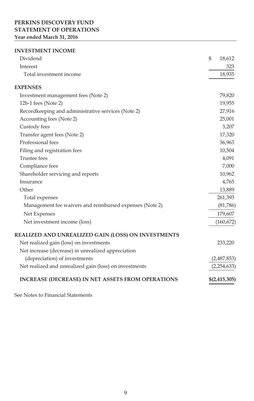### **PERKINS DISCOVERY FUND STATEMENT OF OPERATIONS Year ended March 31, 2016**

#### **INVESTMENT INCOME**

| Dividend                                                 | \$<br>18,612    |
|----------------------------------------------------------|-----------------|
| Interest                                                 | 323             |
| Total investment income                                  | 18,935          |
| <b>EXPENSES</b>                                          |                 |
| Investment management fees (Note 2)                      | 79,820          |
| 12b-1 fees (Note 2)                                      | 19,955          |
| Recordkeeping and administrative services (Note 2)       | 27,916          |
| Accounting fees (Note 2)                                 | 25,001          |
| Custody fees                                             | 3,207           |
| Transfer agent fees (Note 2)                             | 17,320          |
| Professional fees                                        | 36,963          |
| Filing and registration fees                             | 10,504          |
| <b>Trustee fees</b>                                      | 4,091           |
| Compliance fees                                          | 7,000           |
| Shareholder servicing and reports                        | 10,962          |
| Insurance                                                | 4,765           |
| Other                                                    | 13,889          |
| Total expenses                                           | 261,393         |
| Management fee waivers and reimbursed expenses (Note 2)  | (81,786)        |
| Net Expenses                                             | 179,607         |
| Net investment income (loss)                             | (160, 672)      |
| REALIZED AND UNREALIZED GAIN (LOSS) ON INVESTMENTS       |                 |
| Net realized gain (loss) on investments                  | 233,220         |
| Net increase (decrease) in unrealized appreciation       |                 |
| (depreciation) of investments                            | (2,487,853)     |
| Net realized and unrealized gain (loss) on investments   | (2, 254, 633)   |
| <b>INCREASE (DECREASE) IN NET ASSETS FROM OPERATIONS</b> | \$(2, 415, 305) |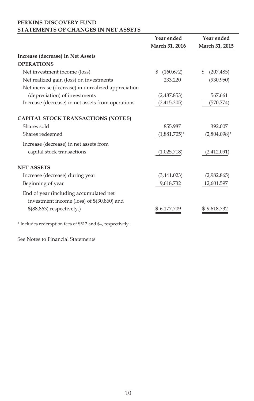### **PERKINS DISCOVERY FUND STATEMENTS OF CHANGES IN NET ASSETS**

|                                                                                      | Year ended<br>March 31, 2016 | Year ended<br>March 31, 2015 |
|--------------------------------------------------------------------------------------|------------------------------|------------------------------|
| Increase (decrease) in Net Assets                                                    |                              |                              |
| <b>OPERATIONS</b>                                                                    |                              |                              |
| Net investment income (loss)                                                         | (160, 672)<br>\$             | \$<br>(207, 485)             |
| Net realized gain (loss) on investments                                              | 233,220                      | (930, 950)                   |
| Net increase (decrease) in unrealized appreciation                                   |                              |                              |
| (depreciation) of investments                                                        | (2,487,853)                  | 567,661                      |
| Increase (decrease) in net assets from operations                                    | (2,415,305)                  | (570, 774)                   |
| <b>CAPITAL STOCK TRANSACTIONS (NOTE 5)</b>                                           |                              |                              |
| Shares sold                                                                          | 855,987                      | 392,007                      |
| Shares redeemed                                                                      | $(1,881,705)^*$              | $(2,804,098)$ *              |
| Increase (decrease) in net assets from                                               |                              |                              |
| capital stock transactions                                                           | (1,025,718)                  | (2,412,091)                  |
| <b>NET ASSETS</b>                                                                    |                              |                              |
| Increase (decrease) during year                                                      | (3,441,023)                  | (2,982,865)                  |
| Beginning of year                                                                    | 9,618,732                    | 12,601,597                   |
| End of year (including accumulated net<br>investment income (loss) of \$(30,860) and |                              |                              |
| $$(88,863)$ respectively.)                                                           | \$ 6,177,709                 | \$9,618,732                  |

\* Includes redemption fees of \$512 and \$–, respectively.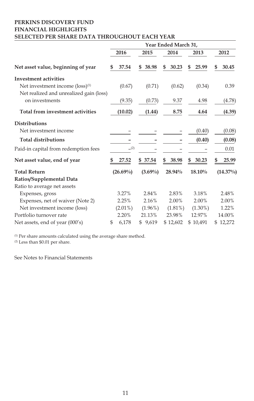### **PERKINS DISCOVERY FUND FINANCIAL HIGHLIGHTS SELECTED PER SHARE DATA THROUGHOUT EACH YEAR**

|                                             | Year Ended March 31, |             |   |            |    |            |             |  |             |
|---------------------------------------------|----------------------|-------------|---|------------|----|------------|-------------|--|-------------|
|                                             |                      | 2016        |   | 2015       |    | 2014       | 2013        |  | 2012        |
| Net asset value, beginning of year          |                      | 37.54       | S | 38.98      | \$ | 30.23      | \$<br>25.99 |  | 30.45       |
| <b>Investment activities</b>                |                      |             |   |            |    |            |             |  |             |
| Net investment income (loss) <sup>(1)</sup> |                      | (0.67)      |   | (0.71)     |    | (0.62)     | (0.34)      |  | 0.39        |
| Net realized and unrealized gain (loss)     |                      |             |   |            |    |            |             |  |             |
| on investments                              |                      | (9.35)      |   | (0.73)     |    | 9.37       | 4.98        |  | (4.78)      |
| Total from investment activities            |                      | (10.02)     |   | (1.44)     |    | 8.75       | 4.64        |  | (4.39)      |
| <b>Distributions</b>                        |                      |             |   |            |    |            |             |  |             |
| Net investment income                       |                      |             |   |            |    |            | (0.40)      |  | (0.08)      |
| <b>Total distributions</b>                  |                      |             |   |            |    |            | (0.40)      |  | (0.08)      |
| Paid-in capital from redemption fees        |                      | (2)         |   |            |    |            |             |  | 0.01        |
| Net asset value, end of year                |                      | 27.52       |   | 37.54      | S  | 38.98      | \$<br>30.23 |  | 25.99       |
| <b>Total Return</b>                         |                      | $(26.69\%)$ |   | $(3.69\%)$ |    | 28.94%     | 18.10%      |  | $(14.37\%)$ |
| Ratios/Supplemental Data                    |                      |             |   |            |    |            |             |  |             |
| Ratio to average net assets                 |                      |             |   |            |    |            |             |  |             |
| Expenses, gross                             |                      | 3.27%       |   | 2.84%      |    | 2.83%      | 3.18%       |  | 2.48%       |
| Expenses, net of waiver (Note 2)            |                      | 2.25%       |   | 2.16%      |    | 2.00%      | 2.00%       |  | 2.00%       |
| Net investment income (loss)                |                      | $(2.01\%)$  |   | $(1.96\%)$ |    | $(1.81\%)$ | $(1.30\%)$  |  | 1.22%       |
| Portfolio turnover rate                     |                      | 2.20%       |   | 21.13%     |    | 23.98%     | 12.97%      |  | 14.00%      |
| Net assets, end of year (000's)             | \$                   | 6,178       |   | \$ 9,619   |    | \$12,602   | \$10,491    |  | \$12,272    |

 $<sup>(1)</sup>$  Per share amounts calculated using the average share method.</sup>

(2) Less than \$0.01 per share.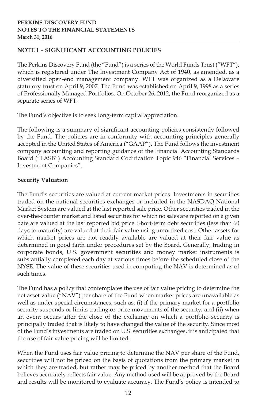# **NOTE 1 – SIGNIFICANT ACCOUNTING POLICIES**

The Perkins Discovery Fund (the "Fund") is a series of the World Funds Trust ("WFT"), which is registered under The Investment Company Act of 1940, as amended, as a diversified open-end management company. WFT was organized as a Delaware statutory trust on April 9, 2007. The Fund was established on April 9, 1998 as a series of Professionally Managed Portfolios. On October 26, 2012, the Fund reorganized as a separate series of WFT.

The Fund's objective is to seek long-term capital appreciation.

The following is a summary of significant accounting policies consistently followed by the Fund. The policies are in conformity with accounting principles generally accepted in the United States of America ("GAAP"). The Fund follows the investment company accounting and reporting guidance of the Financial Accounting Standards Board ("FASB") Accounting Standard Codification Topic 946 "Financial Services – Investment Companies".

# **Security Valuation**

The Fund's securities are valued at current market prices. Investments in securities traded on the national securities exchanges or included in the NASDAQ National Market System are valued at the last reported sale price. Other securities traded in the over-the-counter market and listed securities for which no sales are reported on a given date are valued at the last reported bid price. Short-term debt securities (less than 60 days to maturity) are valued at their fair value using amortized cost. Other assets for which market prices are not readily available are valued at their fair value as determined in good faith under procedures set by the Board. Generally, trading in corporate bonds, U.S. government securities and money market instruments is substantially completed each day at various times before the scheduled close of the NYSE. The value of these securities used in computing the NAV is determined as of such times.

The Fund has a policy that contemplates the use of fair value pricing to determine the net asset value ("NAV") per share of the Fund when market prices are unavailable as well as under special circumstances, such as: (i) if the primary market for a portfolio security suspends or limits trading or price movements of the security; and (ii) when an event occurs after the close of the exchange on which a portfolio security is principally traded that is likely to have changed the value of the security. Since most of the Fund's investments are traded on U.S. securities exchanges, it is anticipated that the use of fair value pricing will be limited.

When the Fund uses fair value pricing to determine the NAV per share of the Fund, securities will not be priced on the basis of quotations from the primary market in which they are traded, but rather may be priced by another method that the Board believes accurately reflects fair value. Any method used will be approved by the Board and results will be monitored to evaluate accuracy. The Fund's policy is intended to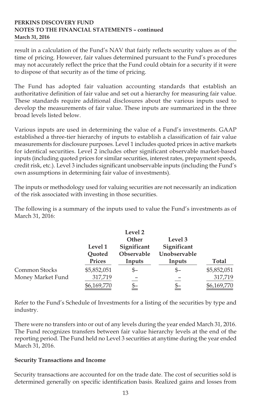result in a calculation of the Fund's NAV that fairly reflects security values as of the time of pricing. However, fair values determined pursuant to the Fund's procedures may not accurately reflect the price that the Fund could obtain for a security if it were to dispose of that security as of the time of pricing.

The Fund has adopted fair valuation accounting standards that establish an authoritative definition of fair value and set out a hierarchy for measuring fair value. These standards require additional disclosures about the various inputs used to develop the measurements of fair value. These inputs are summarized in the three broad levels listed below.

Various inputs are used in determining the value of a Fund's investments. GAAP established a three-tier hierarchy of inputs to establish a classification of fair value measurements for disclosure purposes. Level 1 includes quoted prices in active markets for identical securities. Level 2 includes other significant observable market-based inputs (including quoted prices for similar securities, interest rates, prepayment speeds, credit risk, etc.). Level 3 includes significant unobservable inputs (including the Fund's own assumptions in determining fair value of investments).

The inputs or methodology used for valuing securities are not necessarily an indication of the risk associated with investing in those securities.

The following is a summary of the inputs used to value the Fund's investments as of March 31, 2016:

|                   | Level 1<br>Quoted |                | Level 3<br>Significant<br>Unobservable |             |
|-------------------|-------------------|----------------|----------------------------------------|-------------|
|                   | Prices            | Inputs         | Inputs                                 | Total       |
| Common Stocks     | \$5,852,051       | \$–            | \$–                                    | \$5,852,051 |
| Money Market Fund | 317,719           |                |                                        | 317,719     |
|                   | \$6,169,770       | $\frac{\$-}{}$ | \$–                                    | \$6,169,770 |

Refer to the Fund's Schedule of Investments for a listing of the securities by type and industry.

There were no transfers into or out of any levels during the year ended March 31, 2016. The Fund recognizes transfers between fair value hierarchy levels at the end of the reporting period. The Fund held no Level 3 securities at anytime during the year ended March 31, 2016.

### **Security Transactions and Income**

Security transactions are accounted for on the trade date. The cost of securities sold is determined generally on specific identification basis. Realized gains and losses from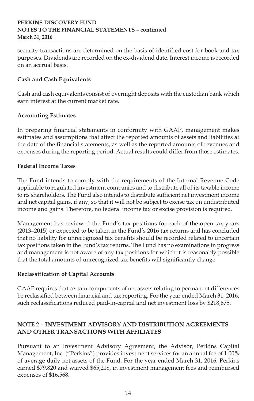security transactions are determined on the basis of identified cost for book and tax purposes. Dividends are recorded on the ex-dividend date. Interest income is recorded on an accrual basis.

# **Cash and Cash Equivalents**

Cash and cash equivalents consist of overnight deposits with the custodian bank which earn interest at the current market rate.

# **Accounting Estimates**

In preparing financial statements in conformity with GAAP, management makes estimates and assumptions that affect the reported amounts of assets and liabilities at the date of the financial statements, as well as the reported amounts of revenues and expenses during the reporting period. Actual results could differ from those estimates.

# **Federal Income Taxes**

The Fund intends to comply with the requirements of the Internal Revenue Code applicable to regulated investment companies and to distribute all of its taxable income to its shareholders. The Fund also intends to distribute sufficient net investment income and net capital gains, if any, so that it will not be subject to excise tax on undistributed income and gains. Therefore, no federal income tax or excise provision is required.

Management has reviewed the Fund's tax positions for each of the open tax years (2013–2015) or expected to be taken in the Fund's 2016 tax returns and has concluded that no liability for unrecognized tax benefits should be recorded related to uncertain tax positions taken in the Fund's tax returns. The Fund has no examinations in progress and management is not aware of any tax positions for which it is reasonably possible that the total amounts of unrecognized tax benefits will significantly change.

# **Reclassification of Capital Accounts**

GAAP requires that certain components of net assets relating to permanent differences be reclassified between financial and tax reporting. For the year ended March 31, 2016, such reclassifications reduced paid-in-capital and net investment loss by \$218,675.

# **NOTE 2 – INVESTMENT ADVISORY AND DISTRIBUTION AGREEMENTS AND OTHER TRANSACTIONS WITH AFFILIATES**

Pursuant to an Investment Advisory Agreement, the Advisor, Perkins Capital Management, Inc. ("Perkins") provides investment services for an annual fee of 1.00% of average daily net assets of the Fund. For the year ended March 31, 2016, Perkins earned \$79,820 and waived \$65,218, in investment management fees and reimbursed expenses of \$16,568.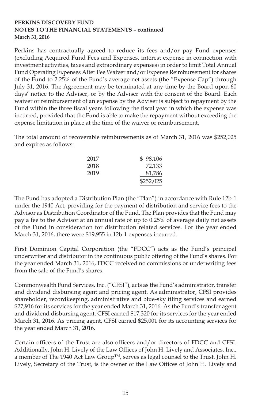Perkins has contractually agreed to reduce its fees and/or pay Fund expenses (excluding Acquired Fund Fees and Expenses, interest expense in connection with investment activities, taxes and extraordinary expenses) in order to limit Total Annual Fund Operating Expenses After Fee Waiver and/or Expense Reimbursement for shares of the Fund to 2.25% of the Fund's average net assets (the "Expense Cap") through July 31, 2016. The Agreement may be terminated at any time by the Board upon 60 days' notice to the Adviser, or by the Adviser with the consent of the Board. Each waiver or reimbursement of an expense by the Adviser is subject to repayment by the Fund within the three fiscal years following the fiscal year in which the expense was incurred, provided that the Fund is able to make the repayment without exceeding the expense limitation in place at the time of the waiver or reimbursement.

The total amount of recoverable reimbursements as of March 31, 2016 was \$252,025 and expires as follows:

| 2017 | \$98.106  |
|------|-----------|
| 2018 | 72,133    |
| 2019 | 81,786    |
|      | \$252,025 |

The Fund has adopted a Distribution Plan (the "Plan") in accordance with Rule 12b-1 under the 1940 Act, providing for the payment of distribution and service fees to the Advisor as Distribution Coordinator of the Fund. The Plan provides that the Fund may pay a fee to the Advisor at an annual rate of up to 0.25% of average daily net assets of the Fund in consideration for distribution related services. For the year ended March 31, 2016, there were \$19,955 in 12b-1 expenses incurred.

First Dominion Capital Corporation (the "FDCC") acts as the Fund's principal underwriter and distributor in the continuous public offering of the Fund's shares. For the year ended March 31, 2016, FDCC received no commissions or underwriting fees from the sale of the Fund's shares.

Commonwealth Fund Services, Inc. ("CFSI"), acts as the Fund's administrator, transfer and dividend disbursing agent and pricing agent. As administrator, CFSI provides shareholder, recordkeeping, administrative and blue-sky filing services and earned \$27,916 for its services for the year ended March 31, 2016. As the Fund's transfer agent and dividend disbursing agent, CFSI earned \$17,320 for its services for the year ended March 31, 2016. As pricing agent, CFSI earned \$25,001 for its accounting services for the year ended March 31, 2016.

Certain officers of the Trust are also officers and/or directors of FDCC and CFSI. Additionally, John H. Lively of the Law Offices of John H. Lively and Associates, Inc., a member of The 1940 Act Law Group™, serves as legal counsel to the Trust. John H. Lively, Secretary of the Trust, is the owner of the Law Offices of John H. Lively and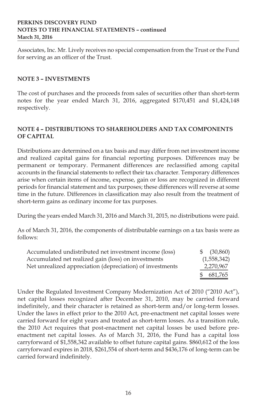Associates, Inc. Mr. Lively receives no special compensation from the Trust or the Fund for serving as an officer of the Trust.

### **NOTE 3 – INVESTMENTS**

The cost of purchases and the proceeds from sales of securities other than short-term notes for the year ended March 31, 2016, aggregated \$170,451 and \$1,424,148 respectively.

# **NOTE 4 – DISTRIBUTIONS TO SHAREHOLDERS AND TAX COMPONENTS OF CAPITAL**

Distributions are determined on a tax basis and may differ from net investment income and realized capital gains for financial reporting purposes. Differences may be permanent or temporary. Permanent differences are reclassified among capital accounts in the financial statements to reflect their tax character. Temporary differences arise when certain items of income, expense, gain or loss are recognized in different periods for financial statement and tax purposes; these differences will reverse at some time in the future. Differences in classification may also result from the treatment of short-term gains as ordinary income for tax purposes.

During the years ended March 31, 2016 and March 31, 2015, no distributions were paid.

As of March 31, 2016, the components of distributable earnings on a tax basis were as follows:

| Accumulated undistributed net investment income (loss)    | (30, 860)<br>S. |
|-----------------------------------------------------------|-----------------|
| Accumulated net realized gain (loss) on investments       | (1,558,342)     |
| Net unrealized appreciation (depreciation) of investments | 2,270,967       |
|                                                           | 681.765         |

Under the Regulated Investment Company Modernization Act of 2010 ("2010 Act"), net capital losses recognized after December 31, 2010, may be carried forward indefinitely, and their character is retained as short-term and/or long-term losses. Under the laws in effect prior to the 2010 Act, pre-enactment net capital losses were carried forward for eight years and treated as short-term losses. As a transition rule, the 2010 Act requires that post-enactment net capital losses be used before preenactment net capital losses. As of March 31, 2016, the Fund has a capital loss carryforward of \$1,558,342 available to offset future capital gains. \$860,612 of the loss carryforward expires in 2018, \$261,554 of short-term and \$436,176 of long-term can be carried forward indefinitely.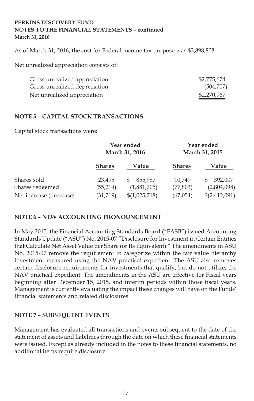As of March 31, 2016, the cost for Federal income tax purpose was \$3,898,803.

Net unrealized appreciation consists of:

| Gross unrealized appreciation | \$2,775,674 |
|-------------------------------|-------------|
| Gross unrealized depreciation | (504,707)   |
| Net unrealized appreciation   | \$2,270,967 |

### **NOTE 5 – CAPITAL STOCK TRANSACTIONS**

Capital stock transactions were:

|                         | Year ended<br>March 31, 2016 |               | Year ended<br>March 31, 2015 |               |
|-------------------------|------------------------------|---------------|------------------------------|---------------|
|                         | <b>Shares</b>                | Value         | <b>Shares</b>                | Value         |
| Shares sold             | 23.495                       | 855,987       | 10,749                       | 392,007       |
| Shares redeemed         | (55, 214)                    | (1,881,705)   | (77, 803)                    | (2,804,098)   |
| Net increase (decrease) | (31,719)                     | \$(1,025,718) | (67,054)                     | \$(2,412,091) |

### **NOTE 6 – NEW ACCOUNTING PRONOUNCEMENT**

In May 2015, the Financial Accounting Standards Board ("FASB") issued Accounting Standards Update ("ASU") No. 2015-07 "Disclosure for Investment in Certain Entities that Calculate Net Asset Value per Share (or Its Equivalent)." The amendments in ASU No. 2015-07 remove the requirement to categorize within the fair value hierarchy investment measured using the NAV practical expedient. The ASU also removes certain disclosure requirements for investments that qualify, but do not utilize, the NAV practical expedient. The amendments in the ASU are effective for Fiscal years beginning after December 15, 2015, and interim periods within those fiscal years. Management is currently evaluating the impact these changes will have on the Funds' financial statements and related disclosures.

### **NOTE 7 – SUBSEQUENT EVENTS**

Management has evaluated all transactions and events subsequent to the date of the statement of assets and liabilities through the date on which these financial statements were issued. Except as already included in the notes to these financial statements, no additional items require disclosure.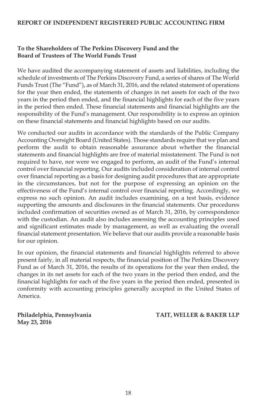#### **REPORT OF INDEPENDENT REGISTERED PUBLIC ACCOUNTING FIRM**

# **To the Shareholders of The Perkins Discovery Fund and the Board of Trustees of The World Funds Trust**

We have audited the accompanying statement of assets and liabilities, including the schedule of investments of The Perkins Discovery Fund, a series of shares of The World Funds Trust (The "Fund"), as of March 31, 2016, and the related statement of operations for the year then ended, the statements of changes in net assets for each of the two years in the period then ended, and the financial highlights for each of the five years in the period then ended. These financial statements and financial highlights are the responsibility of the Fund's management. Our responsibility is to express an opinion on these financial statements and financial highlights based on our audits.

We conducted our audits in accordance with the standards of the Public Company Accounting Oversight Board (United States). Those standards require that we plan and perform the audit to obtain reasonable assurance about whether the financial statements and financial highlights are free of material misstatement. The Fund is not required to have, nor were we engaged to perform, an audit of the Fund's internal control over financial reporting. Our audits included consideration of internal control over financial reporting as a basis for designing audit procedures that are appropriate in the circumstances, but not for the purpose of expressing an opinion on the effectiveness of the Fund's internal control over financial reporting. Accordingly, we express no such opinion. An audit includes examining, on a test basis, evidence supporting the amounts and disclosures in the financial statements. Our procedures included confirmation of securities owned as of March 31, 2016, by correspondence with the custodian. An audit also includes assessing the accounting principles used and significant estimates made by management, as well as evaluating the overall financial statement presentation. We believe that our audits provide a reasonable basis for our opinion.

In our opinion, the financial statements and financial highlights referred to above present fairly, in all material respects, the financial position of The Perkins Discovery Fund as of March 31, 2016, the results of its operations for the year then ended, the changes in its net assets for each of the two years in the period then ended, and the financial highlights for each of the five years in the period then ended, presented in conformity with accounting principles generally accepted in the United States of America.

**May 23, 2016**

**Philadelphia, Pennsylvania TAIT, WELLER & BAKER LLP**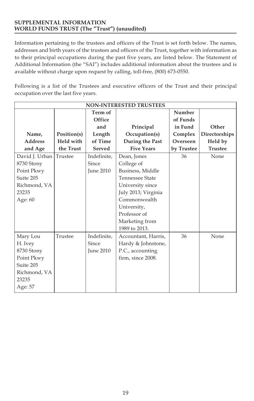#### **SUPPLEMENTAL INFORMATION WORLD FUNDS TRUST (The "Trust") (unaudited)**

Information pertaining to the trustees and officers of the Trust is set forth below. The names, addresses and birth years of the trustees and officers of the Trust, together with information as to their principal occupations during the past five years, are listed below. The Statement of Additional Information (the "SAI") includes additional information about the trustees and is available without charge upon request by calling, toll-free, (800) 673-0550.

Following is a list of the Trustees and executive officers of the Trust and their principal occupation over the last five years.

| <b>NON-INTERESTED TRUSTEES</b> |                  |             |                        |            |                |
|--------------------------------|------------------|-------------|------------------------|------------|----------------|
|                                |                  | Term of     |                        | Number     |                |
|                                |                  | Office      |                        | of Funds   |                |
|                                |                  | and         | Principal              | in Fund    | Other          |
| Name,                          | Position(s)      | Length      | Occupation(s)          | Complex    | Directorships  |
| <b>Address</b>                 | <b>Held with</b> | of Time     | During the Past        | Overseen   | Held by        |
| and Age                        | the Trust        | Served      | <b>Five Years</b>      | by Trustee | <b>Trustee</b> |
| David J. Urban                 | Trustee          | Indefinite, | Dean, Jones            | 36         | None           |
| 8730 Stony                     |                  | Since       | College of             |            |                |
| Point Pkwy                     |                  | June 2010   | Business, Middle       |            |                |
| Suite 205                      |                  |             | <b>Tennessee State</b> |            |                |
| Richmond, VA                   |                  |             | University since       |            |                |
| 23235                          |                  |             | July 2013; Virginia    |            |                |
| Age: 60                        |                  |             | Commonwealth           |            |                |
|                                |                  |             | University,            |            |                |
|                                |                  |             | Professor of           |            |                |
|                                |                  |             | Marketing from         |            |                |
|                                |                  |             | 1989 to 2013.          |            |                |
| Mary Lou                       | Trustee          | Indefinite, | Accountant, Harris,    | 36         | None           |
| H. Ivey                        |                  | Since       | Hardy & Johnstone,     |            |                |
| 8730 Stony                     |                  | June 2010   | P.C., accounting       |            |                |
| Point Pkwy                     |                  |             | firm, since 2008.      |            |                |
| Suite 205                      |                  |             |                        |            |                |
| Richmond, VA                   |                  |             |                        |            |                |
| 23235                          |                  |             |                        |            |                |
| Age: 57                        |                  |             |                        |            |                |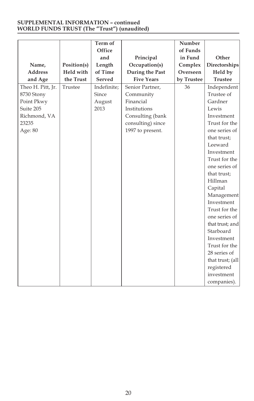#### **SUPPLEMENTAL INFORMATION – continued WORLD FUNDS TRUST (The "Trust") (unaudited)**

|                   |             | Term of<br>Office |                            | Number<br>of Funds |                  |
|-------------------|-------------|-------------------|----------------------------|--------------------|------------------|
|                   |             | and               |                            | in Fund            | Other            |
| Name,             | Position(s) | Length            | Principal<br>Occupation(s) | Complex            | Directorships    |
| <b>Address</b>    | Held with   | of Time           | During the Past            | Overseen           | Held by          |
| and Age           | the Trust   | Served            | <b>Five Years</b>          | by Trustee         | <b>Trustee</b>   |
| Theo H. Pitt, Jr. | Trustee     | Indefinite:       | Senior Partner,            | 36                 | Independent      |
| 8730 Stony        |             | Since             | Community                  |                    | Trustee of       |
| Point Pkwy        |             | August            | Financial                  |                    | Gardner          |
| Suite 205         |             | 2013              | Institutions               |                    | Lewis            |
| Richmond, VA      |             |                   | Consulting (bank           |                    | Investment       |
| 23235             |             |                   | consulting) since          |                    | Trust for the    |
| Age: 80           |             |                   | 1997 to present.           |                    | one series of    |
|                   |             |                   |                            |                    | that trust;      |
|                   |             |                   |                            |                    | Leeward          |
|                   |             |                   |                            |                    | Investment       |
|                   |             |                   |                            |                    | Trust for the    |
|                   |             |                   |                            |                    | one series of    |
|                   |             |                   |                            |                    | that trust;      |
|                   |             |                   |                            |                    | Hillman          |
|                   |             |                   |                            |                    | Capital          |
|                   |             |                   |                            |                    | Management       |
|                   |             |                   |                            |                    | Investment       |
|                   |             |                   |                            |                    | Trust for the    |
|                   |             |                   |                            |                    | one series of    |
|                   |             |                   |                            |                    | that trust; and  |
|                   |             |                   |                            |                    | Starboard        |
|                   |             |                   |                            |                    | Investment       |
|                   |             |                   |                            |                    | Trust for the    |
|                   |             |                   |                            |                    | 28 series of     |
|                   |             |                   |                            |                    | that trust; (all |
|                   |             |                   |                            |                    | registered       |
|                   |             |                   |                            |                    | investment       |
|                   |             |                   |                            |                    | companies).      |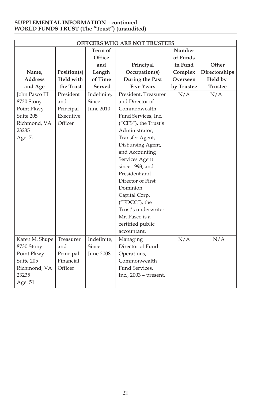#### **SUPPLEMENTAL INFORMATION – continued WORLD FUNDS TRUST (The "Trust") (unaudited)**

| OFFICERS WHO ARE NOT TRUSTEES |             |                  |                         |            |                |
|-------------------------------|-------------|------------------|-------------------------|------------|----------------|
|                               |             | Term of          |                         | Number     |                |
|                               |             | Office           |                         | of Funds   |                |
|                               |             | and              | Principal               | in Fund    | Other          |
| Name,                         | Position(s) | Length           | Occupation(s)           | Complex    | Directorships  |
| <b>Address</b>                | Held with   | of Time          | During the Past         | Overseen   | Held by        |
| and Age                       | the Trust   | Served           | <b>Five Years</b>       | by Trustee | <b>Trustee</b> |
| <b>John Pasco III</b>         | President   | Indefinite.      | President, Treasurer    | N/A        | N/A            |
| 8730 Stony                    | and         | Since            | and Director of         |            |                |
| Point Pkwy                    | Principal   | <b>June 2010</b> | Commonwealth            |            |                |
| Suite 205                     | Executive   |                  | Fund Services, Inc.     |            |                |
| Richmond, VA                  | Officer     |                  | ("CFS"), the Trust's    |            |                |
| 23235                         |             |                  | Administrator,          |            |                |
| Age: 71                       |             |                  | Transfer Agent,         |            |                |
|                               |             |                  | Disbursing Agent,       |            |                |
|                               |             |                  | and Accounting          |            |                |
|                               |             |                  | Services Agent          |            |                |
|                               |             |                  | since 1993; and         |            |                |
|                               |             |                  | President and           |            |                |
|                               |             |                  | Director of First       |            |                |
|                               |             |                  | Dominion                |            |                |
|                               |             |                  | Capital Corp.           |            |                |
|                               |             |                  | ("FDCC"), the           |            |                |
|                               |             |                  | Trust's underwriter.    |            |                |
|                               |             |                  | Mr. Pasco is a          |            |                |
|                               |             |                  | certified public        |            |                |
|                               |             |                  | accountant.             |            |                |
| Karen M. Shupe                | Treasurer   | Indefinite,      | Managing                | N/A        | N/A            |
| 8730 Stony                    | and         | Since            | Director of Fund        |            |                |
| Point Pkwy                    | Principal   | <b>June 2008</b> | Operations,             |            |                |
| Suite 205                     | Financial   |                  | Commonwealth            |            |                |
| Richmond, VA                  | Officer     |                  | Fund Services,          |            |                |
| 23235                         |             |                  | Inc., $2003$ – present. |            |                |
| Age: 51                       |             |                  |                         |            |                |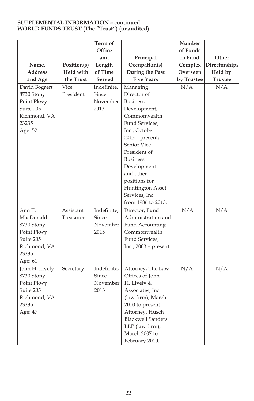#### **SUPPLEMENTAL INFORMATION – continued WORLD FUNDS TRUST (The "Trust") (unaudited)**

| Name,<br><b>Address</b><br>and Age                                                               | Position(s)<br>Held with<br>the Trust | Term of<br>Office<br>and<br>Length<br>of Time<br>Served | Principal<br>Occupation(s)<br>During the Past<br><b>Five Years</b>                                                                                                                                                                                                                            | Number<br>of Funds<br>in Fund<br>Complex<br>Overseen<br>by Trustee | Other<br>Directorships<br>Held by<br><b>Trustee</b> |
|--------------------------------------------------------------------------------------------------|---------------------------------------|---------------------------------------------------------|-----------------------------------------------------------------------------------------------------------------------------------------------------------------------------------------------------------------------------------------------------------------------------------------------|--------------------------------------------------------------------|-----------------------------------------------------|
| David Bogaert<br>8730 Stony<br>Point Pkwy<br>Suite 205<br>Richmond, VA<br>23235<br>Age: 52       | Vice<br>President                     | Indefinite,<br>Since<br>November<br>2013                | Managing<br>Director of<br><b>Business</b><br>Development,<br>Commonwealth<br>Fund Services.<br>Inc., October<br>$2013$ – present;<br>Senior Vice<br>President of<br><b>Business</b><br>Development<br>and other<br>positions for<br>Huntington Asset<br>Services, Inc.<br>from 1986 to 2013. | N/A                                                                | N/A                                                 |
| Ann T.<br>MacDonald<br>8730 Stony<br>Point Pkwy<br>Suite 205<br>Richmond, VA<br>23235<br>Age: 61 | Assistant<br>Treasurer                | Indefinite,<br>Since<br>November<br>2015                | Director, Fund<br>Administration and<br>Fund Accounting,<br>Commonwealth<br>Fund Services,<br>Inc., 2003 - present.                                                                                                                                                                           | $\overline{N/A}$                                                   | N/A                                                 |
| John H. Lively<br>8730 Stony<br>Point Pkwy<br>Suite 205<br>Richmond, VA<br>23235<br>Age: 47      | Secretary                             | Indefinite,<br>Since<br>November<br>2013                | Attorney, The Law<br>Offices of John<br>H. Lively &<br>Associates, Inc.<br>(law firm), March<br>2010 to present:<br>Attorney, Husch<br><b>Blackwell Sanders</b><br>LLP (law firm),<br>March 2007 to<br>February 2010.                                                                         | N/A                                                                | $\overline{N/A}$                                    |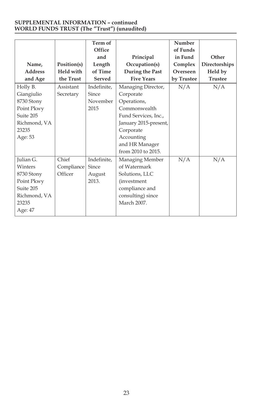#### **SUPPLEMENTAL INFORMATION – continued WORLD FUNDS TRUST (The "Trust") (unaudited)**

|                |             | Term of     |                       | Number     |                |
|----------------|-------------|-------------|-----------------------|------------|----------------|
|                |             | Office      |                       | of Funds   |                |
|                |             | and         | Principal             | in Fund    | Other          |
| Name,          | Position(s) | Length      | Occupation(s)         | Complex    | Directorships  |
| <b>Address</b> | Held with   | of Time     | During the Past       | Overseen   | Held by        |
| and Age        | the Trust   | Served      | <b>Five Years</b>     | by Trustee | <b>Trustee</b> |
| Holly B.       | Assistant   | Indefinite, | Managing Director,    | N/A        | N/A            |
| Giangiulio     | Secretary   | Since       | Corporate             |            |                |
| 8730 Stony     |             | November    | Operations,           |            |                |
| Point Pkwy     |             | 2015        | Commonwealth          |            |                |
| Suite 205      |             |             | Fund Services, Inc.,  |            |                |
| Richmond, VA   |             |             | January 2015-present, |            |                |
| 23235          |             |             | Corporate             |            |                |
| Age: 53        |             |             | Accounting            |            |                |
|                |             |             | and HR Manager        |            |                |
|                |             |             | from 2010 to 2015.    |            |                |
| Julian G.      | Chief       | Indefinite, | Managing Member       | N/A        | N/A            |
| Winters        | Compliance  | Since       | of Watermark          |            |                |
| 8730 Stony     | Officer     | August      | Solutions, LLC        |            |                |
| Point Pkwy     |             | 2013.       | (investment           |            |                |
| Suite 205      |             |             | compliance and        |            |                |
| Richmond, VA   |             |             | consulting) since     |            |                |
| 23235          |             |             | March 2007.           |            |                |
| Age: 47        |             |             |                       |            |                |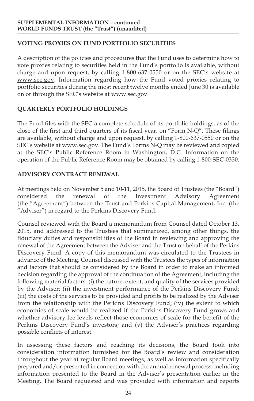# **VOTING PROXIES ON FUND PORTFOLIO SECURITIES**

A description of the policies and procedures that the Fund uses to determine how to vote proxies relating to securities held in the Fund's portfolio is available, without charge and upon request, by calling 1-800-637-0550 or on the SEC's website at www.sec.gov. Information regarding how the Fund voted proxies relating to portfolio securities during the most recent twelve months ended June 30 is available on or through the SEC's website at www.sec.gov.

# **QUARTERLY PORTFOLIO HOLDINGS**

The Fund files with the SEC a complete schedule of its portfolio holdings, as of the close of the first and third quarters of its fiscal year, on "Form N-Q". These filings are available, without charge and upon request, by calling 1-800-637-0550 or on the SEC's website at www.sec.gov. The Fund's Forms N-Q may be reviewed and copied at the SEC's Public Reference Room in Washington, D.C. Information on the operation of the Public Reference Room may be obtained by calling 1-800-SEC-0330.

# **ADVISORY CONTRACT RENEWAL**

At meetings held on November 5 and 10-11, 2015, the Board of Trustees (the "Board") considered the renewal of the Investment Advisory Agreement considered the renewal of the Investment Advisory (the "Agreement") between the Trust and Perkins Capital Management, Inc. (the "Adviser") in regard to the Perkins Discovery Fund.

Counsel reviewed with the Board a memorandum from Counsel dated October 13, 2015, and addressed to the Trustees that summarized, among other things, the fiduciary duties and responsibilities of the Board in reviewing and approving the renewal of the Agreement between the Adviser and the Trust on behalf of the Perkins Discovery Fund. A copy of this memorandum was circulated to the Trustees in advance of the Meeting. Counsel discussed with the Trustees the types of information and factors that should be considered by the Board in order to make an informed decision regarding the approval of the continuation of the Agreement, including the following material factors: (i) the nature, extent, and quality of the services provided by the Adviser; (ii) the investment performance of the Perkins Discovery Fund; (iii) the costs of the services to be provided and profits to be realized by the Adviser from the relationship with the Perkins Discovery Fund; (iv) the extent to which economies of scale would be realized if the Perkins Discovery Fund grows and whether advisory fee levels reflect those economies of scale for the benefit of the Perkins Discovery Fund's investors; and (v) the Adviser's practices regarding possible conflicts of interest.

In assessing these factors and reaching its decisions, the Board took into consideration information furnished for the Board's review and consideration throughout the year at regular Board meetings, as well as information specifically prepared and/or presented in connection with the annual renewal process, including information presented to the Board in the Adviser's presentation earlier in the Meeting. The Board requested and was provided with information and reports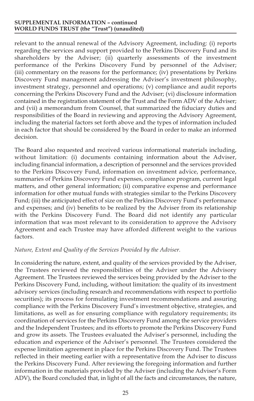#### **SUPPLEMENTAL INFORMATION – continued WORLD FUNDS TRUST (the "Trust") (unaudited)**

relevant to the annual renewal of the Advisory Agreement, including: (i) reports regarding the services and support provided to the Perkins Discovery Fund and its shareholders by the Adviser; (ii) quarterly assessments of the investment performance of the Perkins Discovery Fund by personnel of the Adviser; (iii) commentary on the reasons for the performance; (iv) presentations by Perkins Discovery Fund management addressing the Adviser's investment philosophy, investment strategy, personnel and operations; (v) compliance and audit reports concerning the Perkins Discovery Fund and the Adviser; (vi) disclosure information contained in the registration statement of the Trust and the Form ADV of the Adviser; and (vii) a memorandum from Counsel, that summarized the fiduciary duties and responsibilities of the Board in reviewing and approving the Advisory Agreement, including the material factors set forth above and the types of information included in each factor that should be considered by the Board in order to make an informed decision.

The Board also requested and received various informational materials including, without limitation: (i) documents containing information about the Adviser, including financial information, a description of personnel and the services provided to the Perkins Discovery Fund, information on investment advice, performance, summaries of Perkins Discovery Fund expenses, compliance program, current legal matters, and other general information; (ii) comparative expense and performance information for other mutual funds with strategies similar to the Perkins Discovery Fund; (iii) the anticipated effect of size on the Perkins Discovery Fund's performance and expenses; and (iv) benefits to be realized by the Adviser from its relationship with the Perkins Discovery Fund. The Board did not identify any particular information that was most relevant to its consideration to approve the Advisory Agreement and each Trustee may have afforded different weight to the various factors.

#### *Nature, Extent and Quality of the Services Provided by the Adviser.*

In considering the nature, extent, and quality of the services provided by the Adviser, the Trustees reviewed the responsibilities of the Adviser under the Advisory Agreement. The Trustees reviewed the services being provided by the Adviser to the Perkins Discovery Fund, including, without limitation: the quality of its investment advisory services (including research and recommendations with respect to portfolio securities); its process for formulating investment recommendations and assuring compliance with the Perkins Discovery Fund's investment objective, strategies, and limitations, as well as for ensuring compliance with regulatory requirements; its coordination of services for the Perkins Discovery Fund among the service providers and the Independent Trustees; and its efforts to promote the Perkins Discovery Fund and grow its assets. The Trustees evaluated the Adviser's personnel, including the education and experience of the Adviser's personnel. The Trustees considered the expense limitation agreement in place for the Perkins Discovery Fund. The Trustees reflected in their meeting earlier with a representative from the Adviser to discuss the Perkins Discovery Fund. After reviewing the foregoing information and further information in the materials provided by the Adviser (including the Adviser's Form ADV), the Board concluded that, in light of all the facts and circumstances, the nature,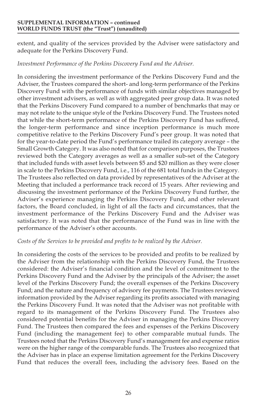#### **SUPPLEMENTAL INFORMATION – continued WORLD FUNDS TRUST (the "Trust") (unaudited)**

extent, and quality of the services provided by the Adviser were satisfactory and adequate for the Perkins Discovery Fund.

#### *Investment Performance of the Perkins Discovery Fund and the Adviser.*

In considering the investment performance of the Perkins Discovery Fund and the Adviser, the Trustees compared the short- and long-term performance of the Perkins Discovery Fund with the performance of funds with similar objectives managed by other investment advisers, as well as with aggregated peer group data. It was noted that the Perkins Discovery Fund compared to a number of benchmarks that may or may not relate to the unique style of the Perkins Discovery Fund. The Trustees noted that while the short-term performance of the Perkins Discovery Fund has suffered, the longer-term performance and since inception performance is much more competitive relative to the Perkins Discovery Fund's peer group. It was noted that for the year-to-date period the Fund's performance trailed its category average – the Small Growth Category. It was also noted that for comparison purposes, the Trustees reviewed both the Category averages as well as a smaller sub-set of the Category that included funds with asset levels between \$5 and \$20 million as they were closer in scale to the Perkins Discovery Fund, i.e., 116 of the 681 total funds in the Category. The Trustees also reflected on data provided by representatives of the Adviser at the Meeting that included a performance track record of 15 years. After reviewing and discussing the investment performance of the Perkins Discovery Fund further, the Adviser's experience managing the Perkins Discovery Fund, and other relevant factors, the Board concluded, in light of all the facts and circumstances, that the investment performance of the Perkins Discovery Fund and the Adviser was satisfactory. It was noted that the performance of the Fund was in line with the performance of the Adviser's other accounts.

#### *Costs of the Services to be provided and profits to be realized by the Adviser.*

In considering the costs of the services to be provided and profits to be realized by the Adviser from the relationship with the Perkins Discovery Fund, the Trustees considered: the Adviser's financial condition and the level of commitment to the Perkins Discovery Fund and the Adviser by the principals of the Adviser; the asset level of the Perkins Discovery Fund; the overall expenses of the Perkins Discovery Fund; and the nature and frequency of advisory fee payments. The Trustees reviewed information provided by the Adviser regarding its profits associated with managing the Perkins Discovery Fund. It was noted that the Adviser was not profitable with regard to its management of the Perkins Discovery Fund. The Trustees also considered potential benefits for the Adviser in managing the Perkins Discovery Fund. The Trustees then compared the fees and expenses of the Perkins Discovery Fund (including the management fee) to other comparable mutual funds. The Trustees noted that the Perkins Discovery Fund's management fee and expense ratios were on the higher range of the comparable funds. The Trustees also recognized that the Adviser has in place an expense limitation agreement for the Perkins Discovery Fund that reduces the overall fees, including the advisory fees. Based on the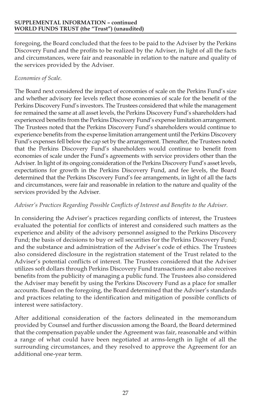#### **SUPPLEMENTAL INFORMATION – continued WORLD FUNDS TRUST (the "Trust") (unaudited)**

foregoing, the Board concluded that the fees to be paid to the Adviser by the Perkins Discovery Fund and the profits to be realized by the Adviser, in light of all the facts and circumstances, were fair and reasonable in relation to the nature and quality of the services provided by the Adviser.

### *Economies of Scale.*

The Board next considered the impact of economies of scale on the Perkins Fund's size and whether advisory fee levels reflect those economies of scale for the benefit of the Perkins Discovery Fund's investors. The Trustees considered that while the management fee remained the same at all asset levels, the Perkins Discovery Fund's shareholders had experienced benefits from the Perkins Discovery Fund's expense limitation arrangement. The Trustees noted that the Perkins Discovery Fund's shareholders would continue to experience benefits from the expense limitation arrangement until the Perkins Discovery Fund's expenses fell below the cap set by the arrangement. Thereafter, the Trustees noted that the Perkins Discovery Fund's shareholders would continue to benefit from economies of scale under the Fund's agreements with service providers other than the Adviser. In light of its ongoing consideration of the Perkins Discovery Fund's asset levels, expectations for growth in the Perkins Discovery Fund, and fee levels, the Board determined that the Perkins Discovery Fund's fee arrangements, in light of all the facts and circumstances, were fair and reasonable in relation to the nature and quality of the services provided by the Adviser.

### *Adviser's Practices Regarding Possible Conflicts of Interest and Benefits to the Adviser.*

In considering the Adviser's practices regarding conflicts of interest, the Trustees evaluated the potential for conflicts of interest and considered such matters as the experience and ability of the advisory personnel assigned to the Perkins Discovery Fund; the basis of decisions to buy or sell securities for the Perkins Discovery Fund; and the substance and administration of the Adviser's code of ethics. The Trustees also considered disclosure in the registration statement of the Trust related to the Adviser's potential conflicts of interest. The Trustees considered that the Adviser utilizes soft dollars through Perkins Discovery Fund transactions and it also receives benefits from the publicity of managing a public fund. The Trustees also considered the Adviser may benefit by using the Perkins Discovery Fund as a place for smaller accounts. Based on the foregoing, the Board determined that the Adviser's standards and practices relating to the identification and mitigation of possible conflicts of interest were satisfactory.

After additional consideration of the factors delineated in the memorandum provided by Counsel and further discussion among the Board, the Board determined that the compensation payable under the Agreement was fair, reasonable and within a range of what could have been negotiated at arms-length in light of all the surrounding circumstances, and they resolved to approve the Agreement for an additional one-year term.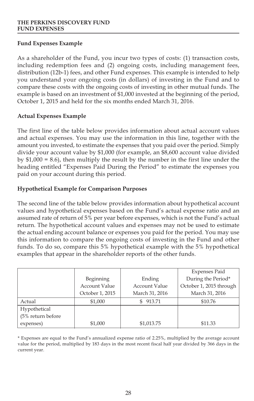# **Fund Expenses Example**

As a shareholder of the Fund, you incur two types of costs: (1) transaction costs, including redemption fees and (2) ongoing costs, including management fees, distribution (12b-1) fees, and other Fund expenses. This example is intended to help you understand your ongoing costs (in dollars) of investing in the Fund and to compare these costs with the ongoing costs of investing in other mutual funds. The example is based on an investment of \$1,000 invested at the beginning of the period, October 1, 2015 and held for the six months ended March 31, 2016.

# **Actual Expenses Example**

The first line of the table below provides information about actual account values and actual expenses. You may use the information in this line, together with the amount you invested, to estimate the expenses that you paid over the period. Simply divide your account value by \$1,000 (for example, an \$8,600 account value divided by \$1,000 = 8.6), then multiply the result by the number in the first line under the heading entitled "Expenses Paid During the Period" to estimate the expenses you paid on your account during this period.

# **Hypothetical Example for Comparison Purposes**

The second line of the table below provides information about hypothetical account values and hypothetical expenses based on the Fund's actual expense ratio and an assumed rate of return of 5% per year before expenses, which is not the Fund's actual return. The hypothetical account values and expenses may not be used to estimate the actual ending account balance or expenses you paid for the period. You may use this information to compare the ongoing costs of investing in the Fund and other funds. To do so, compare this 5% hypothetical example with the 5% hypothetical examples that appear in the shareholder reports of the other funds.

|                   |                 |                | <b>Expenses Paid</b>    |
|-------------------|-----------------|----------------|-------------------------|
|                   | Beginning       | Ending         | During the Period*      |
|                   | Account Value   | Account Value  | October 1, 2015 through |
|                   | October 1, 2015 | March 31, 2016 | March 31, 2016          |
| Actual            | \$1,000         | \$913.71       | \$10.76                 |
| Hypothetical      |                 |                |                         |
| (5% return before |                 |                |                         |
| expenses)         | \$1,000         | \$1,013.75     | \$11.33                 |

\* Expenses are equal to the Fund's annualized expense ratio of 2.25%, multiplied by the average account value for the period, multiplied by 183 days in the most recent fiscal half year divided by 366 days in the current year.